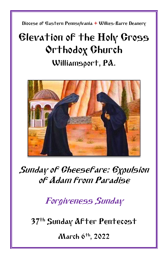Diocese of Eastern Pennsylvania **+** Wilkes-Barre Deanery

# Elevation of the Holy Cross Orthodox Church Williamsport, PA.



## Sunday of Cheesefare: Expulsion of Adam from Paradise

Forgiveness Sunday

37<sup>th</sup> Sunday AFter Pentecost

March 6th, 2022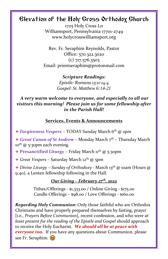### Elevation of the Holy Cross Orthodox Church

1725 Holy Cross Ln Williamsport, Pennsylvania 17701-2749 www.holycrosswilliamsport.org

Rev. Fr. Seraphim Reynolds, Pastor Office: 570.322.3020 (c) 717.576.3503 Email: priestseraphim@protonmail.com

> *Scripture Readings: Epistle: Romans 13:11-14:4 Gospel: St. Matthew 6:14-21*

*A very warm welcome to everyone, and especially to all our visitors this morning! Please join us for some fellowship after in the Parish Hall!*

#### **Services, Events & Announcements**

+ *Forgiveness Vespers* – TODAY Sunday March 6th @ 2pm

+ *Great Canon of St Andrew* - Monday March 7<sup>th</sup> - Thursday March  $10^{th}$  @ 5:30pm each evening.

+ **Presanctified Liturgy** – Friday March 11th @ 5:30pm

+ *Great Vespers* – Saturday March 12th @ 5pm

+ *Divine Liturgy* – *Sunday of Orthodoxy -* March 13th @ 10am (Hours @ 9:40), a Lenten fellowship following in the Hall.

#### *Our Giving – February 27 th, 2022*

Tithes/Offerings - \$1,333.00 / Online Giving - \$175.00 Candle Offerings – \$98.00 / Love Offerings - \$160.00

*Regarding Holy Communion***:** Only those faithful who are Orthodox Christians and have properly prepared themselves by fasting, prayer [i.e., *Prayers Before Communion*], recent confession, and who were *at least present for the reading of the Epistle and Gospel* should approach to receive the Holy Eucharist. *We should all be at peace with everyone too***.** If you have any questions about Communion, please see Fr. Seraphim.  $\circledcirc$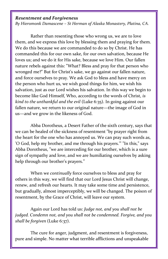#### *Resentment and Forgiveness*

*By Hieromonk Damascene – St Herman of Alaska Monastery, Platina, CA.*

Rather than resenting those who wrong us, we are to love them, and we express this love by blessing them and praying for them. We do this because we are commanded to do so by Christ. He has commanded this for our own sake, for our own salvation, because He loves us; and we do it for His sake, because we love Him. Our fallen nature rebels against this: "What? Bless and pray for that person who wronged me?" But for Christ's sake, we go against our fallen nature, and force ourselves to pray. We ask God to bless and have mercy on the person who hurt us, we wish good things for him, we wish his salvation, just as our Lord wishes his salvation. In this way we begin to become like God Himself, Who, according to the words of Christ, *is kind to the unthankful and the evil* (Luke 6:35). In going against our fallen nature, we return to our original nature—the image of God in us—and we grow in the likeness of God.

Abba Dorotheus, a Desert Father of the sixth century, says that we can be healed of the sickness of resentment "by prayer right from the heart for the one who has annoyed us. We can pray such words as, 'O God, help my brother, and me through his prayers.'" "In this," says Abba Dorotheus, "we are interceding for our brother, which is a sure sign of sympathy and love, and we are humiliating ourselves by asking help through our brother's prayers."

When we *continually* force ourselves to bless and pray for others in this way, we will find that our Lord Jesus Christ will change, renew, and refresh our hearts. It may take some time and persistence, but gradually, almost imperceptibly, we will be changed. The poison of resentment, by the Grace of Christ, will leave our system.

Again our Lord has told us: *Judge not, and you shall not be judged. Condemn not, and you shall not be condemned. Forgive, and you shall be forgiven* (Luke 6:37).

The cure for anger, judgment, and resentment is forgiveness, pure and simple. No matter what terrible afflictions and unspeakable